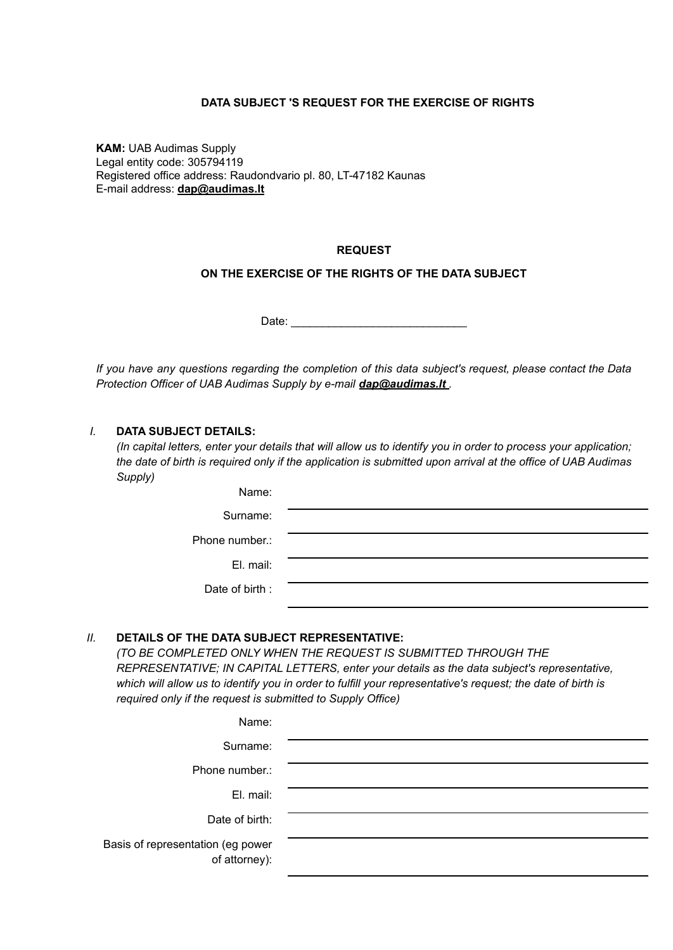### **DATA SUBJECT 'S REQUEST FOR THE EXERCISE OF RIGHTS**

**KAM:** UAB Audimas Supply Legal entity code: 305794119 Registered office address: Raudondvario pl. 80, LT-47182 Kaunas E-mail address: **[dap@audimas.lt](mailto:dap@audimas.lt)**

### **REQUEST**

### **ON THE EXERCISE OF THE RIGHTS OF THE DATA SUBJECT**

Date: \_\_\_\_\_\_\_\_\_\_\_\_\_\_\_\_\_\_\_\_\_\_\_\_\_\_\_\_

If you have any questions regarding the completion of this data subject's request, please contact the Data *Protection Officer of UAB Audimas Supply by e-mail [dap@audimas.lt](mailto:dap@audimas.lt) .*

### *I.* **DATA SUBJECT DETAILS:**

(In capital letters, enter your details that will allow us to identify you in order to process your application; the date of birth is required only if the application is submitted upon arrival at the office of UAB Audimas *Supply)*

| Name:          |  |
|----------------|--|
| Surname:       |  |
| Phone number.: |  |
| El. mail:      |  |
| Date of birth: |  |

#### *II.* **DETAILS OF THE DATA SUBJECT REPRESENTATIVE:**

*(TO BE COMPLETED ONLY WHEN THE REQUEST IS SUBMITTED THROUGH THE REPRESENTATIVE; IN CAPITAL LETTERS, enter your details as the data subject's representative,* which will allow us to identify you in order to fulfill your representative's request; the date of birth is *required only if the request is submitted to Supply Office)*

| Name:                                              |  |
|----------------------------------------------------|--|
| Surname:                                           |  |
| Phone number.:                                     |  |
| El. mail:                                          |  |
| Date of birth:                                     |  |
| Basis of representation (eg power<br>of attorney): |  |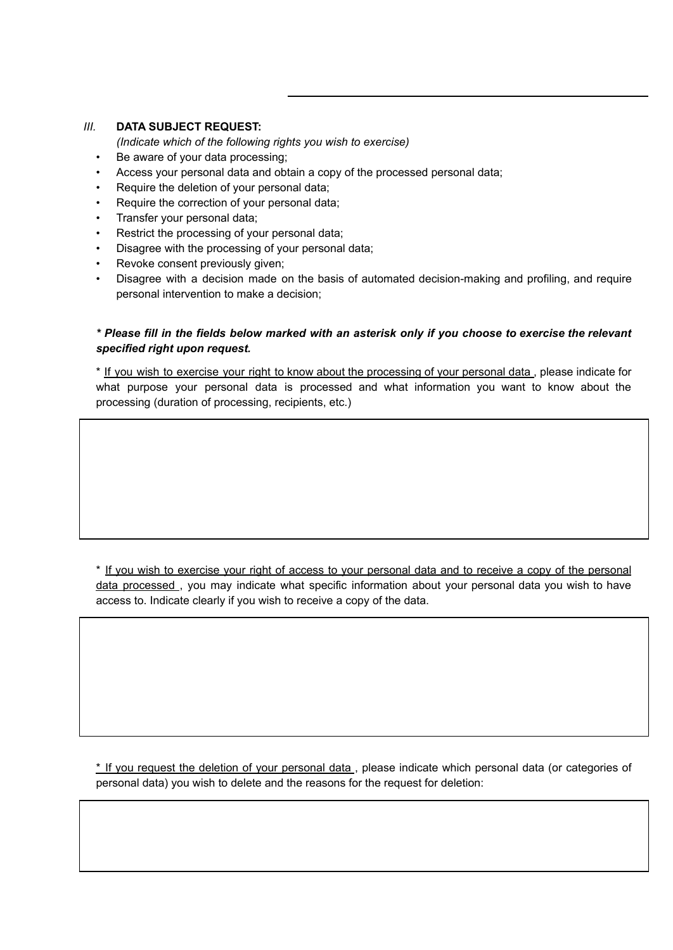### *III.* **DATA SUBJECT REQUEST:**

*(Indicate which of the following rights you wish to exercise)*

- Be aware of your data processing:
- Access your personal data and obtain a copy of the processed personal data;
- Require the deletion of your personal data;
- Require the correction of your personal data;
- Transfer your personal data;
- Restrict the processing of your personal data;
- Disagree with the processing of your personal data;
- Revoke consent previously given;
- Disagree with a decision made on the basis of automated decision-making and profiling, and require personal intervention to make a decision;

# \* Please fill in the fields below marked with an asterisk only if you choose to exercise the relevant *specified right upon request.*

\* If you wish to exercise your right to know about the processing of your personal data , please indicate for what purpose your personal data is processed and what information you want to know about the processing (duration of processing, recipients, etc.)

\* If you wish to exercise your right of access to your personal data and to receive a copy of the personal data processed , you may indicate what specific information about your personal data you wish to have access to. Indicate clearly if you wish to receive a copy of the data.

\* If you request the deletion of your personal data, please indicate which personal data (or categories of personal data) you wish to delete and the reasons for the request for deletion: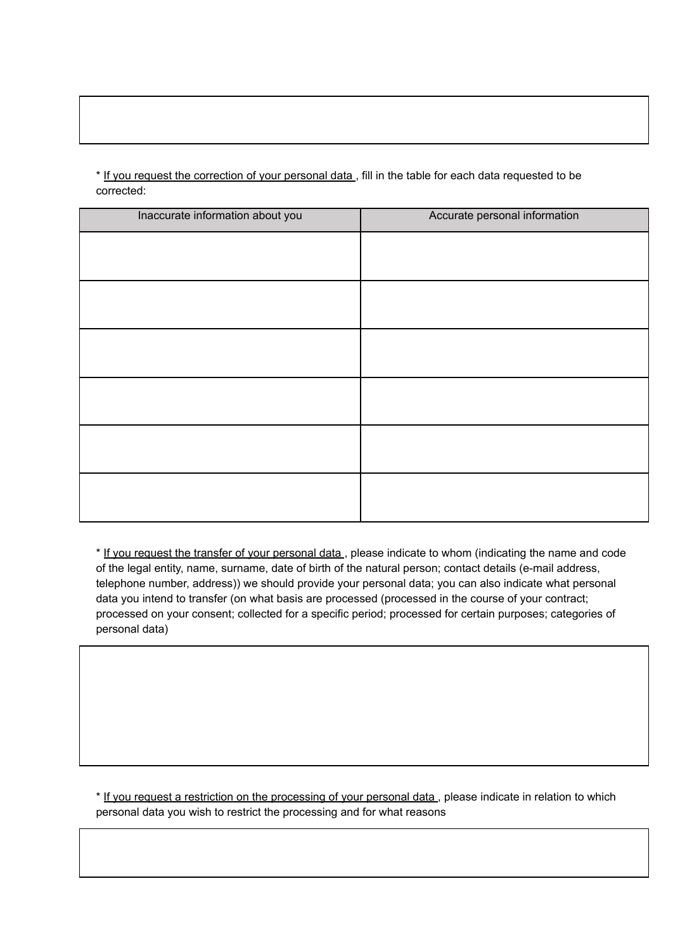\* If you request the correction of your personal data, fill in the table for each data requested to be corrected:

| Inaccurate information about you | Accurate personal information |
|----------------------------------|-------------------------------|
|                                  |                               |
|                                  |                               |
|                                  |                               |
|                                  |                               |
|                                  |                               |
|                                  |                               |
|                                  |                               |
|                                  |                               |
|                                  |                               |
|                                  |                               |
|                                  |                               |
|                                  |                               |

\* If you request the transfer of your personal data , please indicate to whom (indicating the name and code of the legal entity, name, surname, date of birth of the natural person; contact details (e-mail address, telephone number, address)) we should provide your personal data; you can also indicate what personal data you intend to transfer (on what basis are processed (processed in the course of your contract; processed on your consent; collected for a specific period; processed for certain purposes; categories of personal data)

\* If you request a restriction on the processing of your personal data , please indicate in relation to which personal data you wish to restrict the processing and for what reasons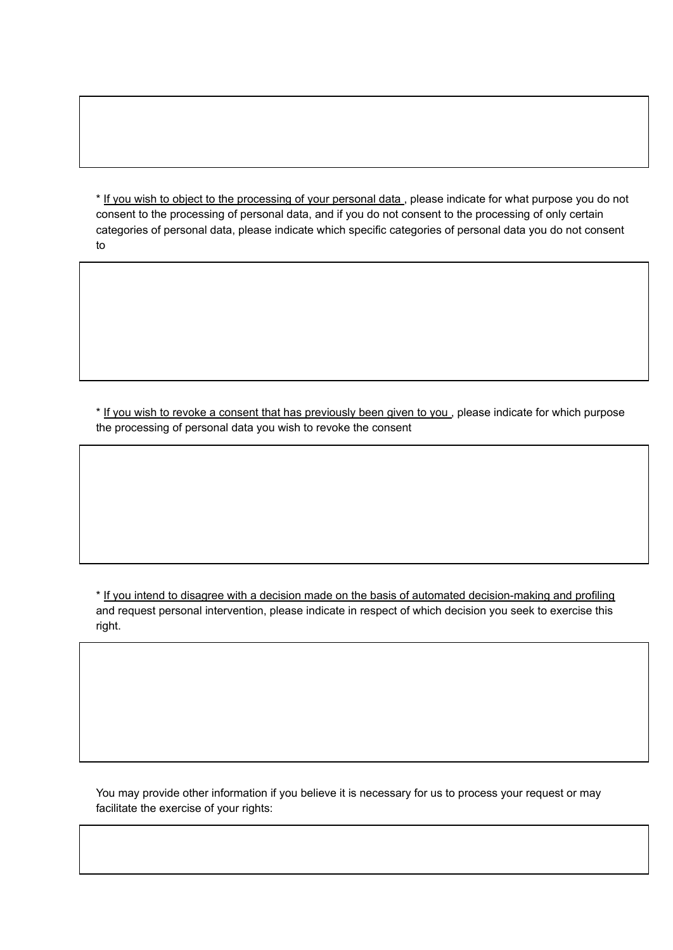\* If you wish to object to the processing of your personal data , please indicate for what purpose you do not consent to the processing of personal data, and if you do not consent to the processing of only certain categories of personal data, please indicate which specific categories of personal data you do not consent to

\* If you wish to revoke a consent that has previously been given to you , please indicate for which purpose the processing of personal data you wish to revoke the consent

\* If you intend to disagree with a decision made on the basis of automated decision-making and profiling and request personal intervention, please indicate in respect of which decision you seek to exercise this right.

You may provide other information if you believe it is necessary for us to process your request or may facilitate the exercise of your rights: